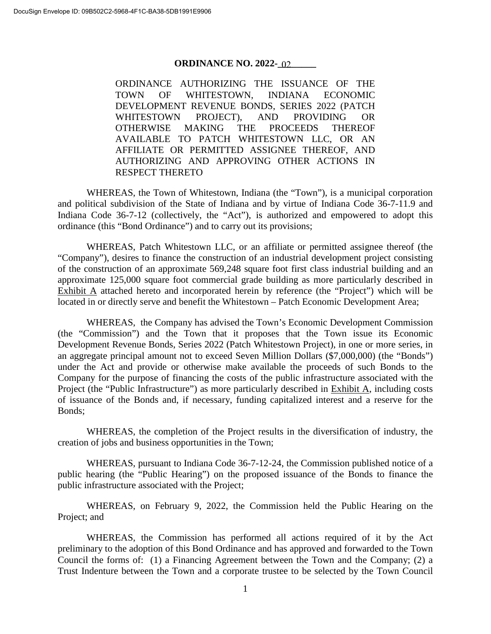## **ORDINANCE NO. 2022-02**

ORDINANCE AUTHORIZING THE ISSUANCE OF THE TOWN OF WHITESTOWN, INDIANA ECONOMIC DEVELOPMENT REVENUE BONDS, SERIES 2022 (PATCH WHITESTOWN PROJECT), AND PROVIDING OR OTHERWISE MAKING THE PROCEEDS THEREOF AVAILABLE TO PATCH WHITESTOWN LLC, OR AN AFFILIATE OR PERMITTED ASSIGNEE THEREOF, AND AUTHORIZING AND APPROVING OTHER ACTIONS IN RESPECT THERETO

WHEREAS, the Town of Whitestown, Indiana (the "Town"), is a municipal corporation and political subdivision of the State of Indiana and by virtue of Indiana Code 36-7-11.9 and Indiana Code 36-7-12 (collectively, the "Act"), is authorized and empowered to adopt this ordinance (this "Bond Ordinance") and to carry out its provisions;

WHEREAS, Patch Whitestown LLC, or an affiliate or permitted assignee thereof (the "Company"), desires to finance the construction of an industrial development project consisting of the construction of an approximate 569,248 square foot first class industrial building and an approximate 125,000 square foot commercial grade building as more particularly described in Exhibit A attached hereto and incorporated herein by reference (the "Project") which will be located in or directly serve and benefit the Whitestown – Patch Economic Development Area;

WHEREAS, the Company has advised the Town's Economic Development Commission (the "Commission") and the Town that it proposes that the Town issue its Economic Development Revenue Bonds, Series 2022 (Patch Whitestown Project), in one or more series, in an aggregate principal amount not to exceed Seven Million Dollars (\$7,000,000) (the "Bonds") under the Act and provide or otherwise make available the proceeds of such Bonds to the Company for the purpose of financing the costs of the public infrastructure associated with the Project (the "Public Infrastructure") as more particularly described in Exhibit A, including costs of issuance of the Bonds and, if necessary, funding capitalized interest and a reserve for the Bonds;

WHEREAS, the completion of the Project results in the diversification of industry, the creation of jobs and business opportunities in the Town;

WHEREAS, pursuant to Indiana Code 36-7-12-24, the Commission published notice of a public hearing (the "Public Hearing") on the proposed issuance of the Bonds to finance the public infrastructure associated with the Project;

WHEREAS, on February 9, 2022, the Commission held the Public Hearing on the Project; and

WHEREAS, the Commission has performed all actions required of it by the Act preliminary to the adoption of this Bond Ordinance and has approved and forwarded to the Town Council the forms of: (1) a Financing Agreement between the Town and the Company; (2) a Trust Indenture between the Town and a corporate trustee to be selected by the Town Council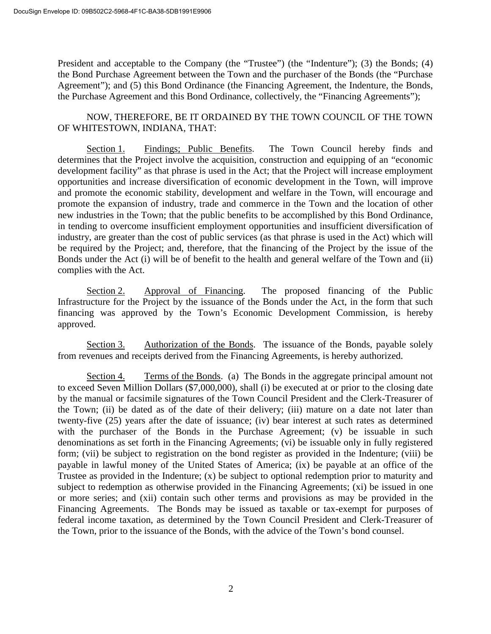President and acceptable to the Company (the "Trustee") (the "Indenture"); (3) the Bonds; (4) the Bond Purchase Agreement between the Town and the purchaser of the Bonds (the "Purchase Agreement"); and (5) this Bond Ordinance (the Financing Agreement, the Indenture, the Bonds, the Purchase Agreement and this Bond Ordinance, collectively, the "Financing Agreements");

NOW, THEREFORE, BE IT ORDAINED BY THE TOWN COUNCIL OF THE TOWN OF WHITESTOWN, INDIANA, THAT:

Section 1. Findings; Public Benefits. The Town Council hereby finds and determines that the Project involve the acquisition, construction and equipping of an "economic development facility" as that phrase is used in the Act; that the Project will increase employment opportunities and increase diversification of economic development in the Town, will improve and promote the economic stability, development and welfare in the Town, will encourage and promote the expansion of industry, trade and commerce in the Town and the location of other new industries in the Town; that the public benefits to be accomplished by this Bond Ordinance, in tending to overcome insufficient employment opportunities and insufficient diversification of industry, are greater than the cost of public services (as that phrase is used in the Act) which will be required by the Project; and, therefore, that the financing of the Project by the issue of the Bonds under the Act (i) will be of benefit to the health and general welfare of the Town and (ii) complies with the Act.

Section 2. Approval of Financing. The proposed financing of the Public Infrastructure for the Project by the issuance of the Bonds under the Act, in the form that such financing was approved by the Town's Economic Development Commission, is hereby approved.

Section 3. Authorization of the Bonds. The issuance of the Bonds, payable solely from revenues and receipts derived from the Financing Agreements, is hereby authorized.

Section 4. Terms of the Bonds. (a) The Bonds in the aggregate principal amount not to exceed Seven Million Dollars (\$7,000,000), shall (i) be executed at or prior to the closing date by the manual or facsimile signatures of the Town Council President and the Clerk-Treasurer of the Town; (ii) be dated as of the date of their delivery; (iii) mature on a date not later than twenty-five (25) years after the date of issuance; (iv) bear interest at such rates as determined with the purchaser of the Bonds in the Purchase Agreement; (v) be issuable in such denominations as set forth in the Financing Agreements; (vi) be issuable only in fully registered form; (vii) be subject to registration on the bond register as provided in the Indenture; (viii) be payable in lawful money of the United States of America; (ix) be payable at an office of the Trustee as provided in the Indenture; (x) be subject to optional redemption prior to maturity and subject to redemption as otherwise provided in the Financing Agreements; (xi) be issued in one or more series; and (xii) contain such other terms and provisions as may be provided in the Financing Agreements. The Bonds may be issued as taxable or tax-exempt for purposes of federal income taxation, as determined by the Town Council President and Clerk-Treasurer of the Town, prior to the issuance of the Bonds, with the advice of the Town's bond counsel.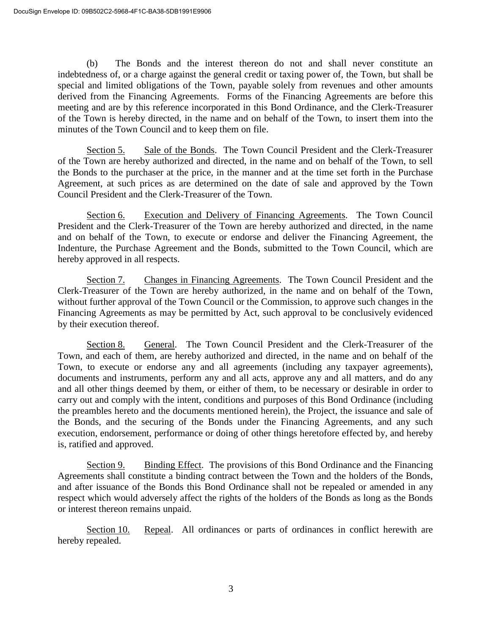(b) The Bonds and the interest thereon do not and shall never constitute an indebtedness of, or a charge against the general credit or taxing power of, the Town, but shall be special and limited obligations of the Town, payable solely from revenues and other amounts derived from the Financing Agreements. Forms of the Financing Agreements are before this meeting and are by this reference incorporated in this Bond Ordinance, and the Clerk-Treasurer of the Town is hereby directed, in the name and on behalf of the Town, to insert them into the minutes of the Town Council and to keep them on file.

Section 5. Sale of the Bonds. The Town Council President and the Clerk-Treasurer of the Town are hereby authorized and directed, in the name and on behalf of the Town, to sell the Bonds to the purchaser at the price, in the manner and at the time set forth in the Purchase Agreement, at such prices as are determined on the date of sale and approved by the Town Council President and the Clerk-Treasurer of the Town.

Section 6. Execution and Delivery of Financing Agreements. The Town Council President and the Clerk-Treasurer of the Town are hereby authorized and directed, in the name and on behalf of the Town, to execute or endorse and deliver the Financing Agreement, the Indenture, the Purchase Agreement and the Bonds, submitted to the Town Council, which are hereby approved in all respects.

Section 7. Changes in Financing Agreements. The Town Council President and the Clerk-Treasurer of the Town are hereby authorized, in the name and on behalf of the Town, without further approval of the Town Council or the Commission, to approve such changes in the Financing Agreements as may be permitted by Act, such approval to be conclusively evidenced by their execution thereof.

Section 8. General. The Town Council President and the Clerk-Treasurer of the Town, and each of them, are hereby authorized and directed, in the name and on behalf of the Town, to execute or endorse any and all agreements (including any taxpayer agreements), documents and instruments, perform any and all acts, approve any and all matters, and do any and all other things deemed by them, or either of them, to be necessary or desirable in order to carry out and comply with the intent, conditions and purposes of this Bond Ordinance (including the preambles hereto and the documents mentioned herein), the Project, the issuance and sale of the Bonds, and the securing of the Bonds under the Financing Agreements, and any such execution, endorsement, performance or doing of other things heretofore effected by, and hereby is, ratified and approved.

Section 9. Binding Effect. The provisions of this Bond Ordinance and the Financing Agreements shall constitute a binding contract between the Town and the holders of the Bonds, and after issuance of the Bonds this Bond Ordinance shall not be repealed or amended in any respect which would adversely affect the rights of the holders of the Bonds as long as the Bonds or interest thereon remains unpaid.

Section 10. Repeal. All ordinances or parts of ordinances in conflict herewith are hereby repealed.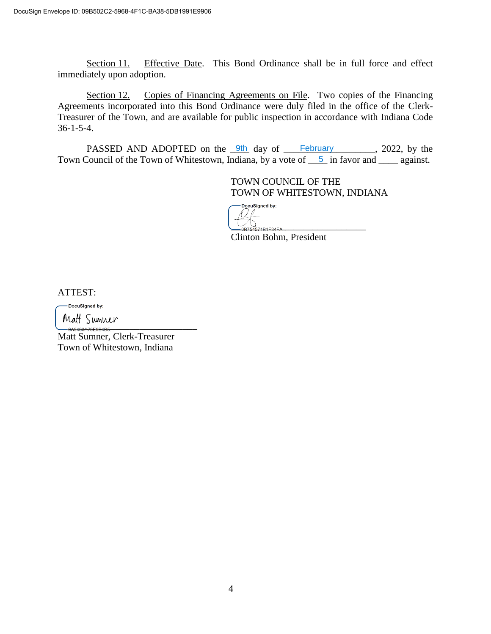Section 11. Effective Date. This Bond Ordinance shall be in full force and effect immediately upon adoption.

Section 12. Copies of Financing Agreements on File. Two copies of the Financing Agreements incorporated into this Bond Ordinance were duly filed in the office of the Clerk-Treasurer of the Town, and are available for public inspection in accordance with Indiana Code 36-1-5-4.

PASSED AND ADOPTED on the  $\frac{9\text{th}}{20}$  day of February 100. 2022, by the Town Council of the Town of Whitestown, Indiana, by a vote of  $\frac{5}{2}$  in favor and  $\frac{1}{2}$  against.

> TOWN COUNCIL OF THE TOWN OF WHITESTOWN, INDIANA

DocuSigned by:  $^{\prime}$ 1B1E34EA.

Clinton Bohm, President

ATTEST:

-DocuSigned by:

 $\cdots$   $\cdots$   $\cdots$   $\cdots$   $\cdots$   $\cdots$   $\cdots$   $\cdots$   $\cdots$   $\cdots$   $\cdots$   $\cdots$   $\cdots$   $\cdots$   $\cdots$   $\cdots$   $\cdots$   $\cdots$   $\cdots$   $\cdots$   $\cdots$   $\cdots$   $\cdots$   $\cdots$   $\cdots$   $\cdots$   $\cdots$   $\cdots$   $\cdots$   $\cdots$   $\cdots$   $\cdots$   $\cdots$   $\cdots$   $\cdots$   $\cdots$   $\cdots$ 

Matt Sumner, Clerk-Treasurer Town of Whitestown, Indiana